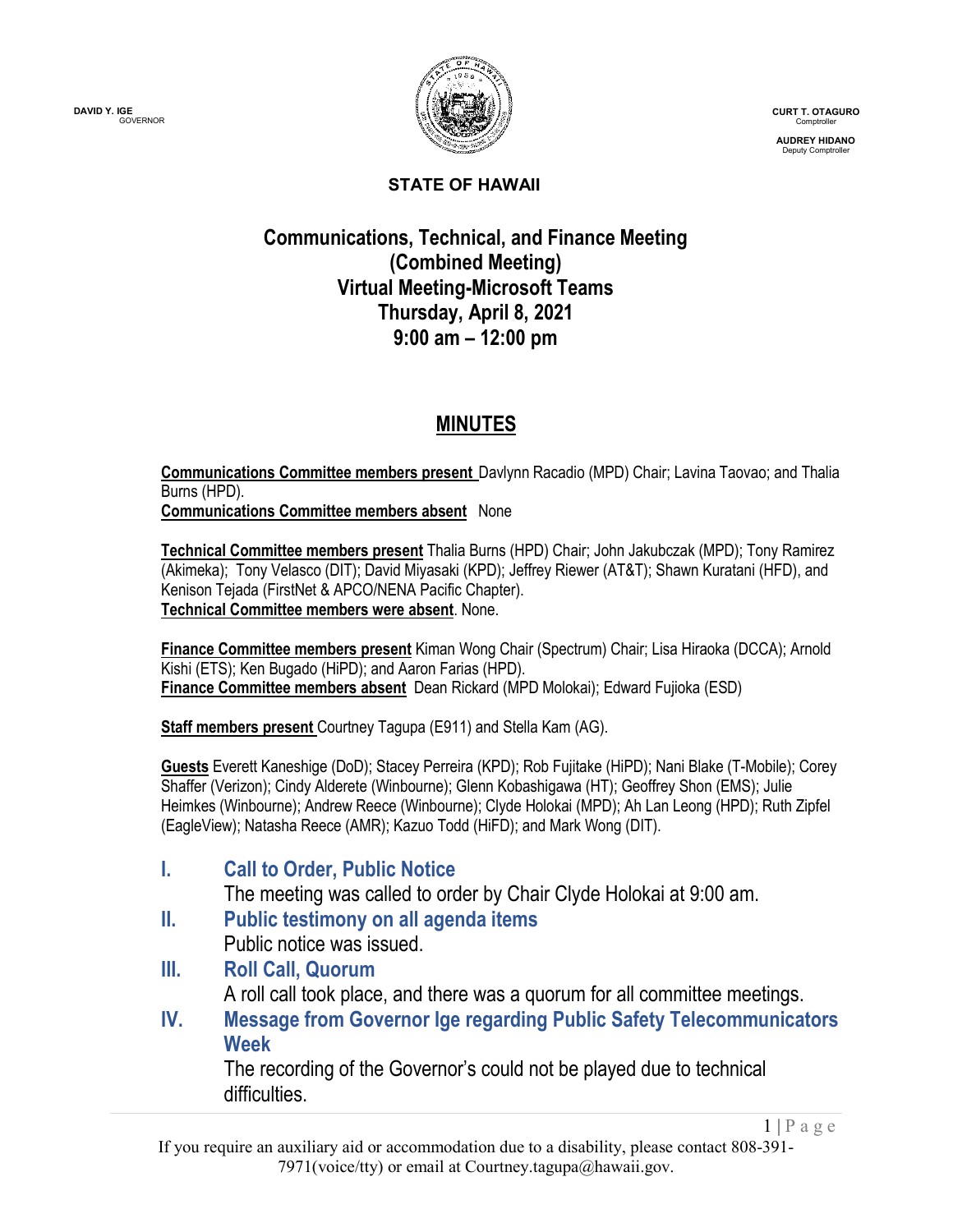

**CURT T. OTAGURO** Comptroller

**AUDREY HIDANO** Deputy Comptroller

 $1 | P \text{ a } g \text{ e}$ 

#### **STATE OF HAWAII**

#### **Communications, Technical, and Finance Meeting (Combined Meeting) Virtual Meeting-Microsoft Teams Thursday, April 8, 2021 9:00 am – 12:00 pm**

## **MINUTES**

**Communications Committee members present** Davlynn Racadio (MPD) Chair; Lavina Taovao; and Thalia Burns (HPD).

**Communications Committee members absent** None

**Technical Committee members present** Thalia Burns (HPD) Chair; John Jakubczak (MPD); Tony Ramirez (Akimeka); Tony Velasco (DIT); David Miyasaki (KPD); Jeffrey Riewer (AT&T); Shawn Kuratani (HFD), and Kenison Tejada (FirstNet & APCO/NENA Pacific Chapter). **Technical Committee members were absent**. None.

**Finance Committee members present** Kiman Wong Chair (Spectrum) Chair; Lisa Hiraoka (DCCA); Arnold Kishi (ETS); Ken Bugado (HiPD); and Aaron Farias (HPD). **Finance Committee members absent** Dean Rickard (MPD Molokai); Edward Fujioka (ESD)

**Staff members present** Courtney Tagupa (E911) and Stella Kam (AG).

**Guests** Everett Kaneshige (DoD); Stacey Perreira (KPD); Rob Fujitake (HiPD); Nani Blake (T-Mobile); Corey Shaffer (Verizon); Cindy Alderete (Winbourne); Glenn Kobashigawa (HT); Geoffrey Shon (EMS); Julie Heimkes (Winbourne); Andrew Reece (Winbourne); Clyde Holokai (MPD); Ah Lan Leong (HPD); Ruth Zipfel (EagleView); Natasha Reece (AMR); Kazuo Todd (HiFD); and Mark Wong (DIT).

**I. Call to Order, Public Notice**

The meeting was called to order by Chair Clyde Holokai at 9:00 am.

- **II. Public testimony on all agenda items** Public notice was issued.
- **III. Roll Call, Quorum** A roll call took place, and there was a quorum for all committee meetings.
- **IV. Message from Governor Ige regarding Public Safety Telecommunicators Week**

The recording of the Governor's could not be played due to technical difficulties.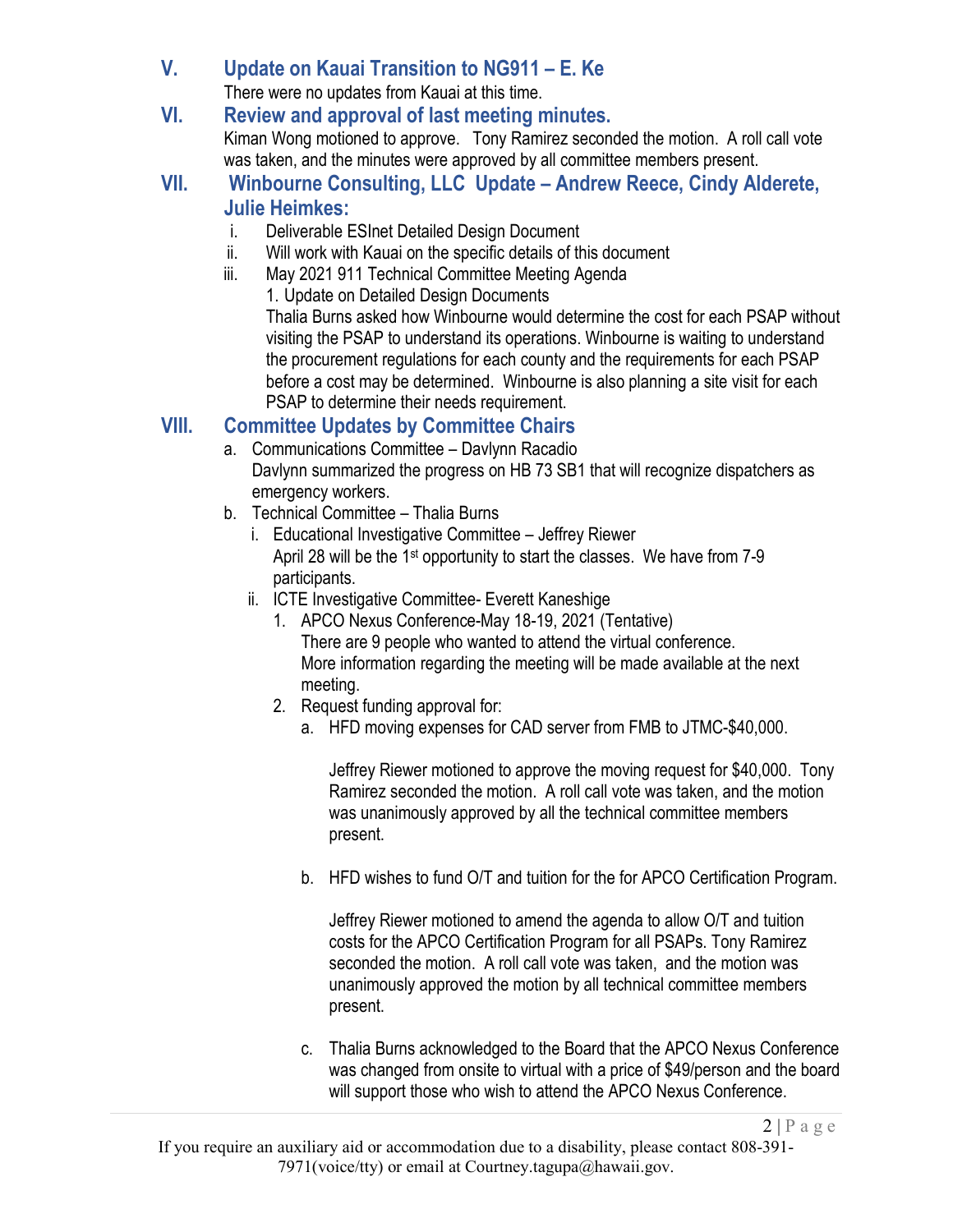### **V. Update on Kauai Transition to NG911 – E. Ke**

There were no updates from Kauai at this time.

#### **VI. Review and approval of last meeting minutes.** Kiman Wong motioned to approve. Tony Ramirez seconded the motion. A roll call vote was taken, and the minutes were approved by all committee members present.

- **VII. Winbourne Consulting, LLC Update – Andrew Reece, Cindy Alderete, Julie Heimkes:**
	- i. Deliverable ESInet Detailed Design Document
	- ii. Will work with Kauai on the specific details of this document
	- iii. May 2021 911 Technical Committee Meeting Agenda
		- 1. Update on Detailed Design Documents

Thalia Burns asked how Winbourne would determine the cost for each PSAP without visiting the PSAP to understand its operations. Winbourne is waiting to understand the procurement regulations for each county and the requirements for each PSAP before a cost may be determined. Winbourne is also planning a site visit for each PSAP to determine their needs requirement.

## **VIII. Committee Updates by Committee Chairs**

- a. Communications Committee Davlynn Racadio Davlynn summarized the progress on HB 73 SB1 that will recognize dispatchers as emergency workers.
- b. Technical Committee Thalia Burns
	- i. Educational Investigative Committee Jeffrey Riewer April 28 will be the 1st opportunity to start the classes. We have from 7-9 participants.
	- ii. ICTE Investigative Committee- Everett Kaneshige
		- 1. APCO Nexus Conference-May 18-19, 2021 (Tentative) There are 9 people who wanted to attend the virtual conference. More information regarding the meeting will be made available at the next meeting.
		- 2. Request funding approval for:
			- a. HFD moving expenses for CAD server from FMB to JTMC-\$40,000.

Jeffrey Riewer motioned to approve the moving request for \$40,000. Tony Ramirez seconded the motion. A roll call vote was taken, and the motion was unanimously approved by all the technical committee members present.

b. HFD wishes to fund O/T and tuition for the for APCO Certification Program.

Jeffrey Riewer motioned to amend the agenda to allow O/T and tuition costs for the APCO Certification Program for all PSAPs. Tony Ramirez seconded the motion. A roll call vote was taken, and the motion was unanimously approved the motion by all technical committee members present.

c. Thalia Burns acknowledged to the Board that the APCO Nexus Conference was changed from onsite to virtual with a price of \$49/person and the board will support those who wish to attend the APCO Nexus Conference.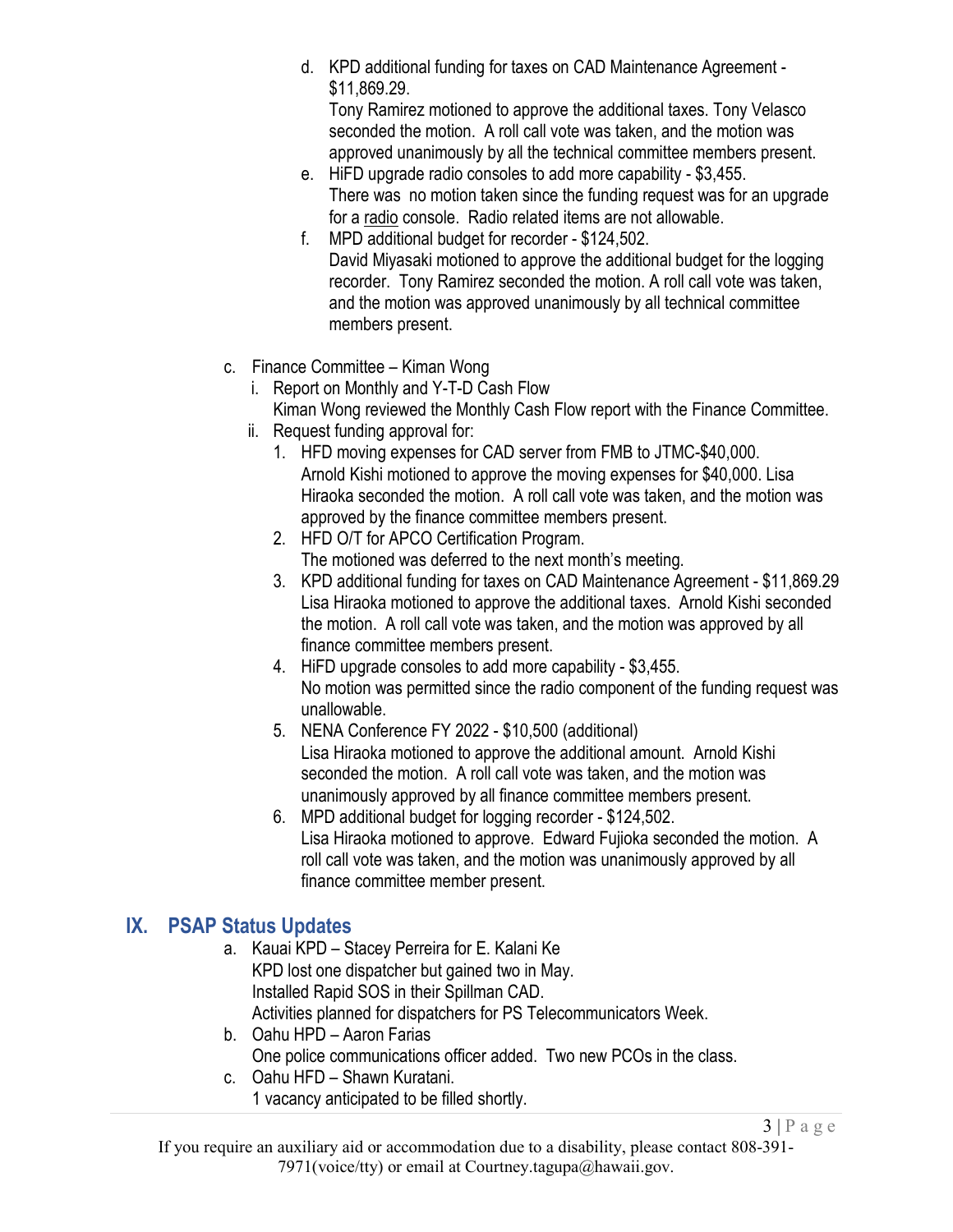d. KPD additional funding for taxes on CAD Maintenance Agreement - \$11,869.29.

Tony Ramirez motioned to approve the additional taxes. Tony Velasco seconded the motion. A roll call vote was taken, and the motion was approved unanimously by all the technical committee members present.

- e. HiFD upgrade radio consoles to add more capability \$3,455. There was no motion taken since the funding request was for an upgrade for a radio console. Radio related items are not allowable.
- f. MPD additional budget for recorder \$124,502. David Miyasaki motioned to approve the additional budget for the logging recorder. Tony Ramirez seconded the motion. A roll call vote was taken, and the motion was approved unanimously by all technical committee members present.
- c. Finance Committee Kiman Wong
	- i. Report on Monthly and Y-T-D Cash Flow

Kiman Wong reviewed the Monthly Cash Flow report with the Finance Committee.

- ii. Request funding approval for:
	- 1. HFD moving expenses for CAD server from FMB to JTMC-\$40,000. Arnold Kishi motioned to approve the moving expenses for \$40,000. Lisa Hiraoka seconded the motion. A roll call vote was taken, and the motion was approved by the finance committee members present.
	- 2. HFD O/T for APCO Certification Program. The motioned was deferred to the next month's meeting.
	- 3. KPD additional funding for taxes on CAD Maintenance Agreement \$11,869.29 Lisa Hiraoka motioned to approve the additional taxes. Arnold Kishi seconded the motion. A roll call vote was taken, and the motion was approved by all finance committee members present.
	- 4. HiFD upgrade consoles to add more capability \$3,455. No motion was permitted since the radio component of the funding request was unallowable.
	- 5. NENA Conference FY 2022 \$10,500 (additional) Lisa Hiraoka motioned to approve the additional amount. Arnold Kishi seconded the motion. A roll call vote was taken, and the motion was unanimously approved by all finance committee members present.
	- 6. MPD additional budget for logging recorder \$124,502. Lisa Hiraoka motioned to approve. Edward Fujioka seconded the motion. A roll call vote was taken, and the motion was unanimously approved by all finance committee member present.

 $3 | P \text{ a ge}$ 

#### **IX. PSAP Status Updates**

- a. Kauai KPD Stacey Perreira for E. Kalani Ke KPD lost one dispatcher but gained two in May. Installed Rapid SOS in their Spillman CAD. Activities planned for dispatchers for PS Telecommunicators Week.
- b. Oahu HPD Aaron Farias One police communications officer added. Two new PCOs in the class.
- c. Oahu HFD Shawn Kuratani. 1 vacancy anticipated to be filled shortly.